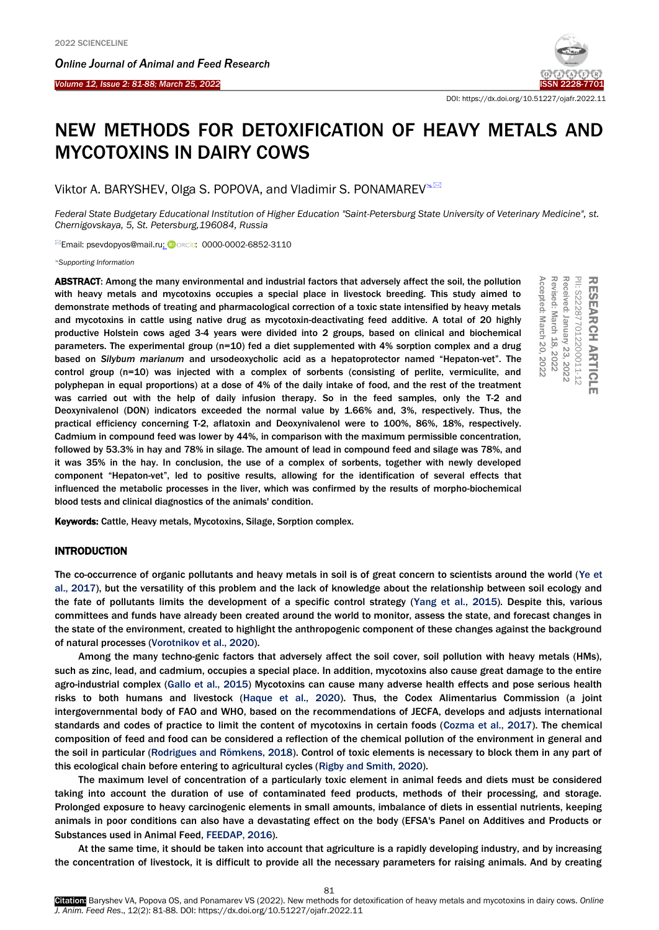Ī



# NEW METHODS FOR DETOXIFICATION OF HEAVY METALS AND MYCOTOXINS IN DAIRY COWS

Viktor A. BARYSHEV, Olga S. POPOVA, and Vladimir S. PONAMAREV<sup>®⊠</sup>

*Federal State Budgetary Educational Institution of Higher Education "Saint-Petersburg State University of Veterinary Medicine", st. Chernigovskaya, 5, St. Petersburg,196084, Russia*

<sup>⊠</sup>Email: psevdopyos@mail.ru; **D**orcip: 0000-0002-6852-3110

*Supporting Information*

ABSTRACT: Among the many environmental and industrial factors that adversely affect the soil, the pollution with heavy metals and mycotoxins occupies a special place in livestock breeding. This study aimed to demonstrate methods of treating and pharmacological correction of a toxic state intensified by heavy metals and mycotoxins in cattle using native drug as mycotoxin-deactivating feed additive. A total of 20 highly productive Holstein cows aged 3-4 years were divided into 2 groups, based on clinical and biochemical parameters. The experimental group (n=10) fed a diet supplemented with 4% sorption complex and a drug based on *Silybum marianum* and ursodeoxycholic acid as a hepatoprotector named "Hepaton-vet". The control group (n=10) was injected with a complex of sorbents (consisting of perlite, vermiculite, and polyphepan in equal proportions) at a dose of 4% of the daily intake of food, and the rest of the treatment was carried out with the help of daily infusion therapy. So in the feed samples, only the T-2 and Deoxynivalenol (DON) indicators exceeded the normal value by 1.66% and, 3%, respectively. Thus, the practical efficiency concerning T-2, aflatoxin and Deoxynivalenol were to 100%, 86%, 18%, respectively. Cadmium in compound feed was lower by 44%, in comparison with the maximum permissible concentration, followed by 53.3% in hay and 78% in silage. The amount of lead in compound feed and silage was 78%, and it was 35% in the hay. In conclusion, the use of a complex of sorbents, together with newly developed component "Hepaton-vet", led to positive results, allowing for the identification of several effects that influenced the metabolic processes in the liver, which was confirmed by the results of morpho-biochemical blood tests and clinical diagnostics of the animals' condition. **ABSTRACT:** Among the many environmental and industrial factors that adversely affect the soil, the pollution heavy metals and mycotoxins occupies a special place in livestock breeding. This study aimed to most and mycotox

# **INTRODUCTION**

The co-occurrence of organic pollutants and heavy metals in soil is of great concern to scientists around the world (Ye et al., 2017), but the versatility of this problem and the lack of knowledge about the relationship between soil ecology and the fate of pollutants limits the development of a specific control strategy (Yang et al., 2015). Despite this, various committees and funds have already been created around the world to monitor, assess the state, and forecast changes in the state of the environment, created to highlight the anthropogenic component of these changes against the background of natural processes (Vorotnikov et al., 2020).

Among the many techno-genic factors that adversely affect the soil cover, soil pollution with heavy metals (HMs), such as zinc, lead, and cadmium, occupies a special place. In addition, mycotoxins also cause great damage to the entire agro-industrial complex (Gallo et al., 2015) Mycotoxins can cause many adverse health effects and pose serious health risks to both humans and livestock (Haque et al., 2020). Thus, the Codex Alimentarius Commission (a joint intergovernmental body of FAO and WHO, based on the recommendations of JECFA, develops and adjusts international standards and codes of practice to limit the content of mycotoxins in certain foods (Cozma et al., 2017). The chemical composition of feed and food can be considered a reflection of the chemical pollution of the environment in general and the soil in particular (Rodrigues and Römkens, 2018). Control of toxic elements is necessary to block them in any part of this ecological chain before entering to agricultural cycles (Rigby and Smith, 2020).

The maximum level of concentration of a particularly toxic element in animal feeds and diets must be considered taking into account the duration of use of contaminated feed products, methods of their processing, and storage. Prolonged exposure to heavy carcinogenic elements in small amounts, imbalance of diets in essential nutrients, keeping animals in poor conditions can also have a devastating effect on the body (EFSA's Panel on Additives and Products or Substances used in Animal Feed, FEEDAP, 2016).

At the same time, it should be taken into account that agriculture is a rapidly developing industry, and by increasing the concentration of livestock, it is difficult to provide all the necessary parameters for raising animals. And by creating

81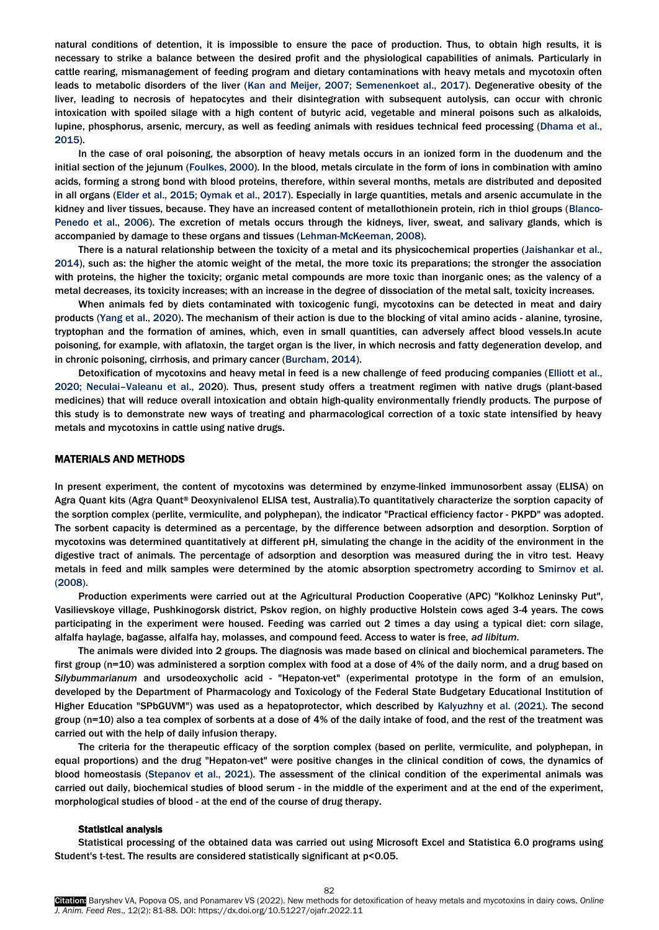natural conditions of detention, it is impossible to ensure the pace of production. Thus, to obtain high results, it is necessary to strike a balance between the desired profit and the physiological capabilities of animals. Particularly in cattle rearing, mismanagement of feeding program and dietary contaminations with heavy metals and mycotoxin often leads to metabolic disorders of the liver (Kan and Meijer, 2007; Semenenkoet al., 2017). Degenerative obesity of the liver, leading to necrosis of hepatocytes and their disintegration with subsequent autolysis, can occur with chronic intoxication with spoiled silage with a high content of butyric acid, vegetable and mineral poisons such as alkaloids, lupine, phosphorus, arsenic, mercury, as well as feeding animals with residues technical feed processing (Dhama et al., 2015).

In the case of oral poisoning, the absorption of heavy metals occurs in an ionized form in the duodenum and the initial section of the jejunum (Foulkes, 2000). In the blood, metals circulate in the form of ions in combination with amino acids, forming a strong bond with blood proteins, therefore, within several months, metals are distributed and deposited in all organs (Elder et al., 2015; Oymak et al., 2017). Especially in large quantities, metals and arsenic accumulate in the kidney and liver tissues, because. They have an increased content of metallothionein protein, rich in thiol groups (Blanco-Penedo et al., 2006). The excretion of metals occurs through the kidneys, liver, sweat, and salivary glands, which is accompanied by damage to these organs and tissues (Lehman-McKeeman, 2008).

There is a natural relationship between the toxicity of a metal and its physicochemical properties (Jaishankar et al., 2014), such as: the higher the atomic weight of the metal, the more toxic its preparations; the stronger the association with proteins, the higher the toxicity; organic metal compounds are more toxic than inorganic ones; as the valency of a metal decreases, its toxicity increases; with an increase in the degree of dissociation of the metal salt, toxicity increases.

When animals fed by diets contaminated with toxicogenic fungi, mycotoxins can be detected in meat and dairy products (Yang et al., 2020). The mechanism of their action is due to the blocking of vital amino acids - alanine, tyrosine, tryptophan and the formation of amines, which, even in small quantities, can adversely affect blood vessels.In acute poisoning, for example, with aflatoxin, the target organ is the liver, in which necrosis and fatty degeneration develop, and in chronic poisoning, cirrhosis, and primary cancer (Burcham, 2014).

Detoxification of mycotoxins and heavy metal in feed is a new challenge of feed producing companies (Elliott et al., 2020; Neculai–Valeanu et al., 2020). Thus, present study offers a treatment regimen with native drugs (plant-based medicines) that will reduce overall intoxication and obtain high-quality environmentally friendly products. The purpose of this study is to demonstrate new ways of treating and pharmacological correction of a toxic state intensified by heavy metals and mycotoxins in cattle using native drugs.

#### MATERIALS AND METHODS

In present experiment, the content of mycotoxins was determined by enzyme-linked immunosorbent assay (ELISA) on Agra Quant kits (Agra Quant® Deoxynivalenol ELISA test, Australia).To quantitatively characterize the sorption capacity of the sorption complex (perlite, vermiculite, and polyphepan), the indicator "Practical efficiency factor - PKPD" was adopted. The sorbent capacity is determined as a percentage, by the difference between adsorption and desorption. Sorption of mycotoxins was determined quantitatively at different pH, simulating the change in the acidity of the environment in the digestive tract of animals. The percentage of adsorption and desorption was measured during the in vitro test. Heavy metals in feed and milk samples were determined by the atomic absorption spectrometry according to Smirnov et al. (2008).

Production experiments were carried out at the Agricultural Production Cooperative (APC) "Kolkhoz Leninsky Put", Vasilievskoye village, Pushkinogorsk district, Pskov region, on highly productive Holstein cows aged 3-4 years. The cows participating in the experiment were housed. Feeding was carried out 2 times a day using a typical diet: corn silage, alfalfa haylage, bagasse, alfalfa hay, molasses, and compound feed. Access to water is free, *ad libitum*.

The animals were divided into 2 groups. The diagnosis was made based on clinical and biochemical parameters. The first group (n=10) was administered a sorption complex with food at a dose of 4% of the daily norm, and a drug based on *Silybummarianum* and ursodeoxycholic acid - "Hepaton-vet" (experimental prototype in the form of an emulsion, developed by the Department of Pharmacology and Toxicology of the Federal State Budgetary Educational Institution of Higher Education "SPbGUVM") was used as a hepatoprotector, which described by Kalyuzhny et al. (2021). The second group (n=10) also a tea complex of sorbents at a dose of 4% of the daily intake of food, and the rest of the treatment was carried out with the help of daily infusion therapy.

The criteria for the therapeutic efficacy of the sorption complex (based on perlite, vermiculite, and polyphepan, in equal proportions) and the drug "Hepaton-vet" were positive changes in the clinical condition of cows, the dynamics of blood homeostasis (Stepanov et al., 2021). The assessment of the clinical condition of the experimental animals was carried out daily, biochemical studies of blood serum - in the middle of the experiment and at the end of the experiment, morphological studies of blood - at the end of the course of drug therapy.

#### Statistical analysis

Statistical processing of the obtained data was carried out using Microsoft Excel and Statistica 6.0 programs using Student's t-test. The results are considered statistically significant at p<0.05.

82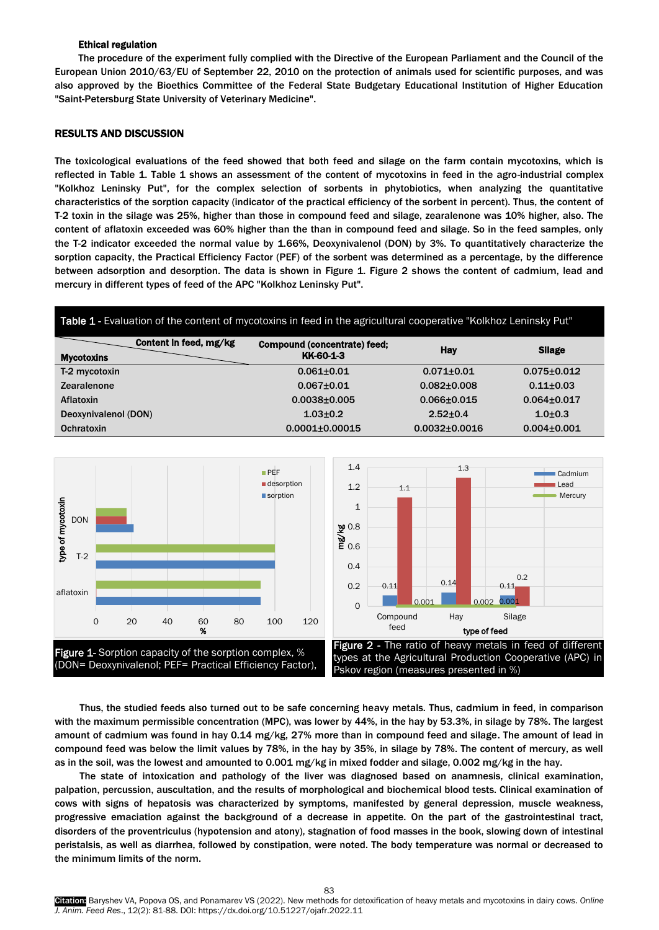# Ethical regulation

The procedure of the experiment fully complied with the Directive of the European Parliament and the Council of the European Union 2010/63/EU of September 22, 2010 on the protection of animals used for scientific purposes, and was also approved by the Bioethics Committee of the Federal State Budgetary Educational Institution of Higher Education "Saint-Petersburg State University of Veterinary Medicine".

# RESULTS AND DISCUSSION

The toxicological evaluations of the feed showed that both feed and silage on the farm contain mycotoxins, which is reflected in Table 1. Table 1 shows an assessment of the content of mycotoxins in feed in the agro-industrial complex "Kolkhoz Leninsky Put", for the complex selection of sorbents in phytobiotics, when analyzing the quantitative characteristics of the sorption capacity (indicator of the practical efficiency of the sorbent in percent). Thus, the content of T-2 toxin in the silage was 25%, higher than those in compound feed and silage, zearalenone was 10% higher, also. The content of aflatoxin exceeded was 60% higher than the than in compound feed and silage. So in the feed samples, only the T-2 indicator exceeded the normal value by 1.66%, Deoxynivalenol (DON) by 3%. To quantitatively characterize the sorption capacity, the Practical Efficiency Factor (PEF) of the sorbent was determined as a percentage, by the difference between adsorption and desorption. The data is shown in Figure 1. Figure 2 shows the content of cadmium, lead and mercury in different types of feed of the APC "Kolkhoz Leninsky Put".





Thus, the studied feeds also turned out to be safe concerning heavy metals. Thus, cadmium in feed, in comparison with the maximum permissible concentration (MPC), was lower by 44%, in the hay by 53.3%, in silage by 78%. The largest amount of cadmium was found in hay 0.14 mg/kg, 27% more than in compound feed and silage. The amount of lead in compound feed was below the limit values by 78%, in the hay by 35%, in silage by 78%. The content of mercury, as well as in the soil, was the lowest and amounted to 0.001 mg/kg in mixed fodder and silage, 0.002 mg/kg in the hay.

The state of intoxication and pathology of the liver was diagnosed based on anamnesis, clinical examination, palpation, percussion, auscultation, and the results of morphological and biochemical blood tests. Clinical examination of cows with signs of hepatosis was characterized by symptoms, manifested by general depression, muscle weakness, progressive emaciation against the background of a decrease in appetite. On the part of the gastrointestinal tract, disorders of the proventriculus (hypotension and atony), stagnation of food masses in the book, slowing down of intestinal peristalsis, as well as diarrhea, followed by constipation, were noted. The body temperature was normal or decreased to the minimum limits of the norm.

Citation: Baryshev VA, Popova OS, and Ponamarev VS (2022). New methods for detoxification of heavy metals and mycotoxins in dairy cows. *Online J. Anim. Feed Res*., 12(2): 81-88. DOI: https://dx.doi.org/10.51227/ojafr.2022.11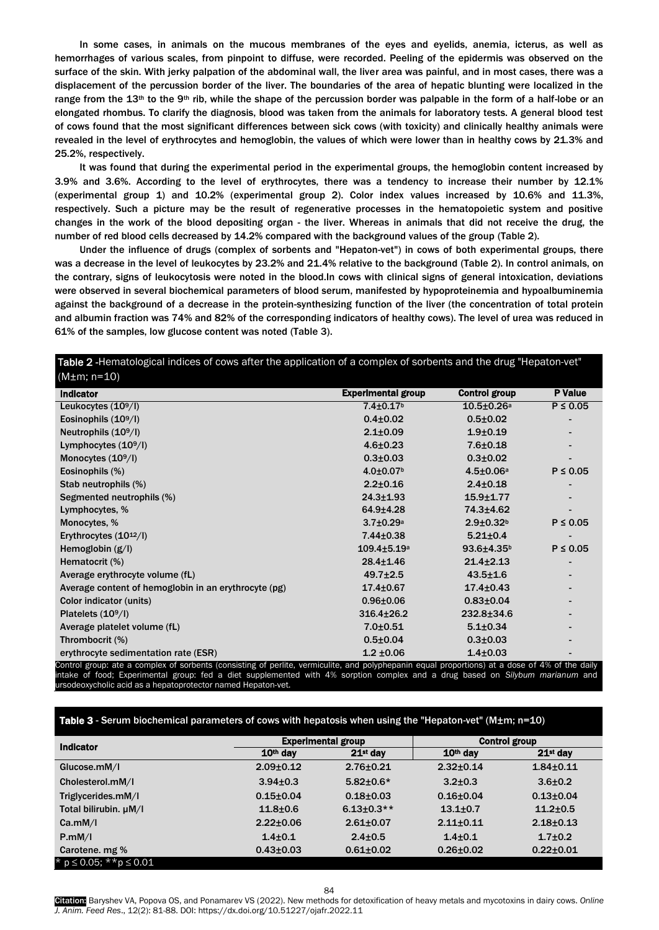In some cases, in animals on the mucous membranes of the eyes and eyelids, anemia, icterus, as well as hemorrhages of various scales, from pinpoint to diffuse, were recorded. Peeling of the epidermis was observed on the surface of the skin. With jerky palpation of the abdominal wall, the liver area was painful, and in most cases, there was a displacement of the percussion border of the liver. The boundaries of the area of hepatic blunting were localized in the range from the 13<sup>th</sup> to the 9<sup>th</sup> rib, while the shape of the percussion border was palpable in the form of a half-lobe or an elongated rhombus. To clarify the diagnosis, blood was taken from the animals for laboratory tests. A general blood test of cows found that the most significant differences between sick cows (with toxicity) and clinically healthy animals were revealed in the level of erythrocytes and hemoglobin, the values of which were lower than in healthy cows by 21.3% and 25.2%, respectively.

It was found that during the experimental period in the experimental groups, the hemoglobin content increased by 3.9% and 3.6%. According to the level of erythrocytes, there was a tendency to increase their number by 12.1% (experimental group 1) and 10.2% (experimental group 2). Color index values increased by 10.6% and 11.3%, respectively. Such a picture may be the result of regenerative processes in the hematopoietic system and positive changes in the work of the blood depositing organ - the liver. Whereas in animals that did not receive the drug, the number of red blood cells decreased by 14.2% compared with the background values of the group (Table 2).

Under the influence of drugs (complex of sorbents and "Hepaton-vet") in cows of both experimental groups, there was a decrease in the level of leukocytes by 23.2% and 21.4% relative to the background (Table 2). In control animals, on the contrary, signs of leukocytosis were noted in the blood.In cows with clinical signs of general intoxication, deviations were observed in several biochemical parameters of blood serum, manifested by hypoproteinemia and hypoalbuminemia against the background of a decrease in the protein-synthesizing function of the liver (the concentration of total protein and albumin fraction was 74% and 82% of the corresponding indicators of healthy cows). The level of urea was reduced in 61% of the samples, low glucose content was noted (Table 3).

# Table 2 -Hematological indices of cows after the application of a complex of sorbents and the drug "Hepaton-vet"  $(M+m: n=10)$

| <b>Indicator</b>                                     | <b>Experimental group</b>     | Control group              | <b>P</b> Value           |
|------------------------------------------------------|-------------------------------|----------------------------|--------------------------|
| Leukocytes $(10^9/l)$                                | $7.4 \pm 0.17$ <sup>b</sup>   | $10.5 \pm 0.26$ a          | $P \leq 0.05$            |
| Eosinophils $(109/I)$                                | $0.4{\pm}0.02$                | $0.5 \pm 0.02$             |                          |
| Neutrophils $(109/I)$                                | $2.1 \pm 0.09$                | $1.9 + 0.19$               |                          |
| Lymphocytes $(10^9/l)$                               | $4.6 \pm 0.23$                | $7.6 + 0.18$               |                          |
| Monocytes $(109/I)$                                  | $0.3{\pm}0.03$                | $0.3{\pm}0.02$             |                          |
| Eosinophils (%)                                      | $4.0 \pm 0.07$ <sup>b</sup>   | $4.5 \pm 0.06a$            | $P \leq 0.05$            |
| Stab neutrophils (%)                                 | $2.2 \pm 0.16$                | $2.4 \pm 0.18$             |                          |
| Segmented neutrophils (%)                            | $24.3 + 1.93$                 | $15.9 + 1.77$              |                          |
| Lymphocytes, %                                       | 64.9±4.28                     | 74.3±4.62                  | $\overline{\phantom{a}}$ |
| Monocytes, %                                         | $3.7 \pm 0.29$ a              | $2.9 + 0.32b$              | $P \leq 0.05$            |
| Erythrocytes $(10^{12}/I)$                           | $7.44 \pm 0.38$               | $5.21 \pm 0.4$             |                          |
| Hemoglobin $(g/I)$                                   | $109.4 \pm 5.19$ <sup>a</sup> | $93.6{\pm}4.35^{\text{b}}$ | $P \leq 0.05$            |
| Hematocrit (%)                                       | $28.4 \pm 1.46$               | $21.4 \pm 2.13$            |                          |
| Average erythrocyte volume (fL)                      | $49.7 \pm 2.5$                | $43.5 \pm 1.6$             |                          |
| Average content of hemoglobin in an erythrocyte (pg) | $17.4 \pm 0.67$               | $17.4 \pm 0.43$            |                          |
| Color indicator (units)                              | $0.96 \pm 0.06$               | $0.83{\pm}0.04$            | $\overline{\phantom{a}}$ |
| Platelets $(109/I)$                                  | $316.4 \pm 26.2$              | $232.8 \pm 34.6$           |                          |
| Average platelet volume (fL)                         | $7.0 + 0.51$                  | $5.1 \pm 0.34$             |                          |
| Thrombocrit (%)                                      | $0.5 \pm 0.04$                | $0.3{\pm}0.03$             |                          |
| erythrocyte sedimentation rate (ESR)                 | $1.2 \pm 0.06$                | $1.4 \pm 0.03$             |                          |

ntrol group: ate a complex of sorbents (consisting of perlite, vermiculite, and polyphepanin equal proportions) at a dose of 4% of the dail intake of food; Experimental group: fed a diet supplemented with 4% sorption complex and a drug based on *Silybum marianum* and ursodeoxycholic acid as a hepatoprotector named Hepaton-vet.

## Table 3 - Serum biochemical parameters of cows with hepatosis when using the "Hepaton-vet" (M±m; n=10)

| <b>Indicator</b>                 | <b>Experimental group</b> |                  | <b>Control group</b> |                 |
|----------------------------------|---------------------------|------------------|----------------------|-----------------|
|                                  | 10 <sup>th</sup> day      | $21st$ day       | 10 <sup>th</sup> day | $21st$ dav      |
| Glucose.mM/I                     | $2.09 \pm 0.12$           | $2.76 \pm 0.21$  | $2.32 + 0.14$        | $1.84 + 0.11$   |
| Cholesterol.mM/I                 | $3.94 \pm 0.3$            | $5.82 \pm 0.6*$  | $3.2 \pm 0.3$        | $3.6 \pm 0.2$   |
| Triglycerides.mM/I               | $0.15 \pm 0.04$           | $0.18 + 0.03$    | $0.16 + 0.04$        | $0.13 + 0.04$   |
| Total bilirubin. µM/I            | $11.8 + 0.6$              | $6.13 \pm 0.3**$ | $13.1 \pm 0.7$       | $11.2 \pm 0.5$  |
| Ca.mM/I                          | $2.22 \pm 0.06$           | $2.61 \pm 0.07$  | $2.11 \pm 0.11$      | $2.18 + 0.13$   |
| P.mM/I                           | $1.4 \pm 0.1$             | $2.4 \pm 0.5$    | $1.4 \pm 0.1$        | $1.7 \pm 0.2$   |
| Carotene. mg %                   | $0.43{\pm}0.03$           | $0.61 \pm 0.02$  | $0.26 \pm 0.02$      | $0.22 \pm 0.01$ |
| * $p \le 0.05$ ; ** $p \le 0.01$ |                           |                  |                      |                 |

Citation: Baryshev VA, Popova OS, and Ponamarev VS (2022). New methods for detoxification of heavy metals and mycotoxins in dairy cows. *Online J. Anim. Feed Res*., 12(2): 81-88. DOI: https://dx.doi.org/10.51227/ojafr.2022.11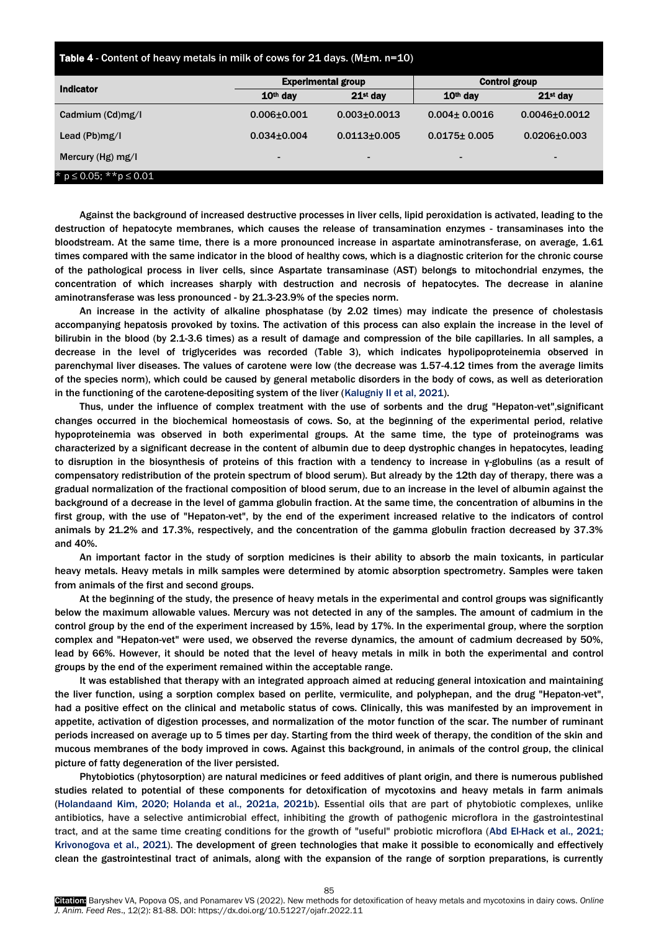|  | <b>Table 4</b> - Content of heavy metals in milk of cows for 21 days. (M $\pm$ m. n=10) |  |
|--|-----------------------------------------------------------------------------------------|--|
|--|-----------------------------------------------------------------------------------------|--|

| <b>Indicator</b>                 | <b>Experimental group</b> |                    | <b>Control group</b> |                     |
|----------------------------------|---------------------------|--------------------|----------------------|---------------------|
|                                  | 10 <sup>th</sup> day      | $21st$ day         | $10th$ dav           | $21st$ day          |
| Cadmium (Cd)mg/l                 | $0.006 \pm 0.001$         | $0.003 \pm 0.0013$ | $0.004 \pm 0.0016$   | $0.0046 \pm 0.0012$ |
| Lead $(Pb)mg/l$                  | $0.034 \pm 0.004$         | $0.0113 + 0.005$   | $0.0175 \pm 0.005$   | $0.0206 \pm 0.003$  |
| Mercury (Hg) mg/l                | $\blacksquare$            | -                  | $\blacksquare$       | $\blacksquare$      |
| * $p \le 0.05$ ; ** $p \le 0.01$ |                           |                    |                      |                     |

Against the background of increased destructive processes in liver cells, lipid peroxidation is activated, leading to the destruction of hepatocyte membranes, which causes the release of transamination enzymes - transaminases into the bloodstream. At the same time, there is a more pronounced increase in aspartate aminotransferase, on average, 1.61 times compared with the same indicator in the blood of healthy cows, which is a diagnostic criterion for the chronic course of the pathological process in liver cells, since Aspartate transaminase (AST) belongs to mitochondrial enzymes, the concentration of which increases sharply with destruction and necrosis of hepatocytes. The decrease in alanine aminotransferase was less pronounced - by 21.3-23.9% of the species norm.

An increase in the activity of alkaline phosphatase (by 2.02 times) may indicate the presence of cholestasis accompanying hepatosis provoked by toxins. The activation of this process can also explain the increase in the level of bilirubin in the blood (by 2.1-3.6 times) as a result of damage and compression of the bile capillaries. In all samples, a decrease in the level of triglycerides was recorded (Table 3), which indicates hypolipoproteinemia observed in parenchymal liver diseases. The values of carotene were low (the decrease was 1.57-4.12 times from the average limits of the species norm), which could be caused by general metabolic disorders in the body of cows, as well as deterioration in the functioning of the carotene-depositing system of the liver (Kalugniy II et al, 2021).

Thus, under the influence of complex treatment with the use of sorbents and the drug "Hepaton-vet",significant changes occurred in the biochemical homeostasis of cows. So, at the beginning of the experimental period, relative hypoproteinemia was observed in both experimental groups. At the same time, the type of proteinograms was characterized by a significant decrease in the content of albumin due to deep dystrophic changes in hepatocytes, leading to disruption in the biosynthesis of proteins of this fraction with a tendency to increase in γ-globulins (as a result of compensatory redistribution of the protein spectrum of blood serum). But already by the 12th day of therapy, there was a gradual normalization of the fractional composition of blood serum, due to an increase in the level of albumin against the background of a decrease in the level of gamma globulin fraction. At the same time, the concentration of albumins in the first group, with the use of "Hepaton-vet", by the end of the experiment increased relative to the indicators of control animals by 21.2% and 17.3%, respectively, and the concentration of the gamma globulin fraction decreased by 37.3% and 40%.

An important factor in the study of sorption medicines is their ability to absorb the main toxicants, in particular heavy metals. Heavy metals in milk samples were determined by atomic absorption spectrometry. Samples were taken from animals of the first and second groups.

At the beginning of the study, the presence of heavy metals in the experimental and control groups was significantly below the maximum allowable values. Mercury was not detected in any of the samples. The amount of cadmium in the control group by the end of the experiment increased by 15%, lead by 17%. In the experimental group, where the sorption complex and "Hepaton-vet" were used, we observed the reverse dynamics, the amount of cadmium decreased by 50%, lead by 66%. However, it should be noted that the level of heavy metals in milk in both the experimental and control groups by the end of the experiment remained within the acceptable range.

It was established that therapy with an integrated approach aimed at reducing general intoxication and maintaining the liver function, using a sorption complex based on perlite, vermiculite, and polyphepan, and the drug "Hepaton-vet", had a positive effect on the clinical and metabolic status of cows. Clinically, this was manifested by an improvement in appetite, activation of digestion processes, and normalization of the motor function of the scar. The number of ruminant periods increased on average up to 5 times per day. Starting from the third week of therapy, the condition of the skin and mucous membranes of the body improved in cows. Against this background, in animals of the control group, the clinical picture of fatty degeneration of the liver persisted.

Phytobiotics (phytosorption) are natural medicines or feed additives of plant origin, and there is numerous published studies related to potential of these components for detoxification of mycotoxins and heavy metals in farm animals (Holandaand Kim, 2020; Holanda et al., 2021a, 2021b). Essential oils that are part of phytobiotic complexes, unlike antibiotics, have a selective antimicrobial effect, inhibiting the growth of pathogenic microflora in the gastrointestinal tract, and at the same time creating conditions for the growth of "useful" probiotic microflora (Abd El-Hack et al., 2021; Krivonogova et al., 2021). The development of green technologies that make it possible to economically and effectively clean the gastrointestinal tract of animals, along with the expansion of the range of sorption preparations, is currently

85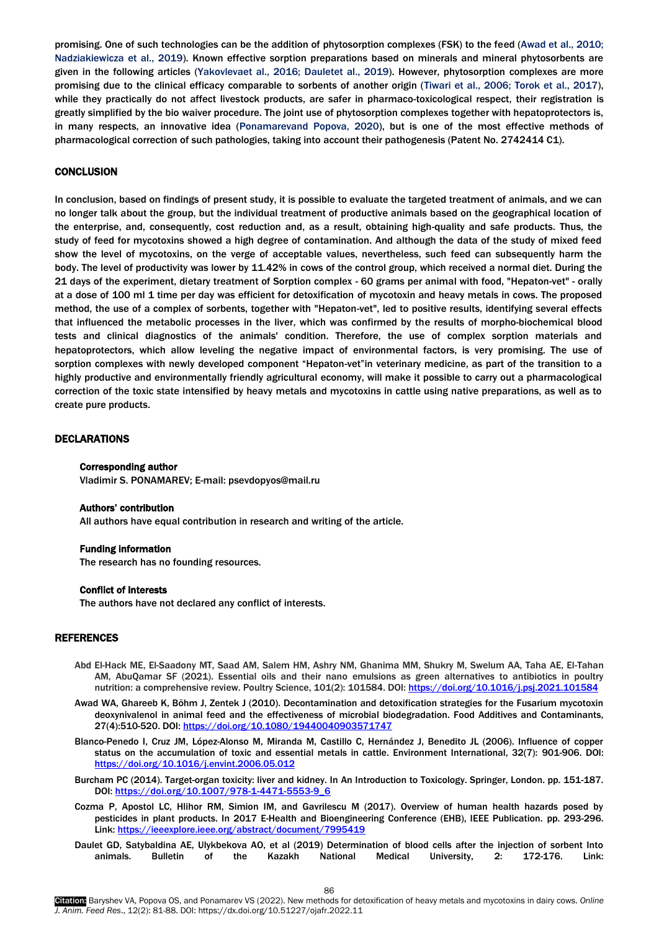promising. One of such technologies can be the addition of phytosorption complexes (FSK) to the feed (Awad et al., 2010; Nadziakiewicza et al., 2019). Known effective sorption preparations based on minerals and mineral phytosorbents are given in the following articles (Yakovlevaet al., 2016; Dauletet al., 2019). However, phytosorption complexes are more promising due to the clinical efficacy comparable to sorbents of another origin (Tiwari et al., 2006; Torok et al., 2017), while they practically do not affect livestock products, are safer in pharmaco-toxicological respect, their registration is greatly simplified by the bio waiver procedure. The joint use of phytosorption complexes together with hepatoprotectors is, in many respects, an innovative idea (Ponamarevand Popova, 2020), but is one of the most effective methods of pharmacological correction of such pathologies, taking into account their pathogenesis (Patent No. 2742414 C1).

# **CONCLUSION**

In conclusion, based on findings of present study, it is possible to evaluate the targeted treatment of animals, and we can no longer talk about the group, but the individual treatment of productive animals based on the geographical location of the enterprise, and, consequently, cost reduction and, as a result, obtaining high-quality and safe products. Thus, the study of feed for mycotoxins showed a high degree of contamination. And although the data of the study of mixed feed show the level of mycotoxins, on the verge of acceptable values, nevertheless, such feed can subsequently harm the body. The level of productivity was lower by 11.42% in cows of the control group, which received a normal diet. During the 21 days of the experiment, dietary treatment of Sorption complex - 60 grams per animal with food, "Hepaton-vet" - orally at a dose of 100 ml 1 time per day was efficient for detoxification of mycotoxin and heavy metals in cows. The proposed method, the use of a complex of sorbents, together with "Hepaton-vet", led to positive results, identifying several effects that influenced the metabolic processes in the liver, which was confirmed by the results of morpho-biochemical blood tests and clinical diagnostics of the animals' condition. Therefore, the use of complex sorption materials and hepatoprotectors, which allow leveling the negative impact of environmental factors, is very promising. The use of sorption complexes with newly developed component "Hepaton-vet"in veterinary medicine, as part of the transition to a highly productive and environmentally friendly agricultural economy, will make it possible to carry out a pharmacological correction of the toxic state intensified by heavy metals and mycotoxins in cattle using native preparations, as well as to create pure products.

# DECLARATIONS

## Corresponding author

Vladimir S. PONAMAREV; E-mail: psevdopyos@mail.ru

#### Authors' contribution

All authors have equal contribution in research and writing of the article.

## Funding information

The research has no founding resources.

## Conflict of interests

The authors have not declared any conflict of interests.

## REFERENCES

- Abd El-Hack ME, El-Saadony MT, Saad AM, Salem HM, Ashry NM, Ghanima MM, Shukry M, Swelum AA, Taha AE, El-Tahan AM, AbuQamar SF (2021). Essential oils and their nano emulsions as green alternatives to antibiotics in poultry nutrition: a comprehensive review. Poultry Science, 101(2): 101584. DOI[: https://doi.org/10.1016/j.psj.2021.101584](https://doi.org/10.1016/j.psj.2021.101584)
- Awad WA, Ghareeb K, Böhm J, Zentek J (2010). Decontamination and detoxification strategies for the Fusarium mycotoxin deoxynivalenol in animal feed and the effectiveness of microbial biodegradation. Food Additives and Contaminants, 27(4):510-520. DOI[: https://doi.org/10.1080/19440040903571747](https://doi.org/10.1080/19440040903571747)
- Blanco-Penedo I, Cruz JM, López-Alonso M, Miranda M, Castillo C, Hernández J, Benedito JL (2006). Influence of copper status on the accumulation of toxic and essential metals in cattle. Environment International, 32(7): 901-906. DOI: <https://doi.org/10.1016/j.envint.2006.05.012>
- Burcham PC (2014). Target-organ toxicity: liver and kidney. In An Introduction to Toxicology. Springer, London. pp. 151-187. DOI: [https://doi.org/10.1007/978-1-4471-5553-9\\_6](https://doi.org/10.1007/978-1-4471-5553-9_6)
- Cozma P, Apostol LC, Hlihor RM, Simion IM, and Gavrilescu M (2017). Overview of human health hazards posed by pesticides in plant products. In 2017 E-Health and Bioengineering Conference (EHB), IEEE Publication. pp. 293-296. Link[: https://ieeexplore.ieee.org/abstract/document/7995419](https://ieeexplore.ieee.org/abstract/document/7995419)
- Daulet GD, Satybaldina AE, Ulykbekova AO, et al (2019) Determination of blood cells after the injection of sorbent Into animals. Bulletin of the Kazakh National Medical University, 2: 172-176. Link: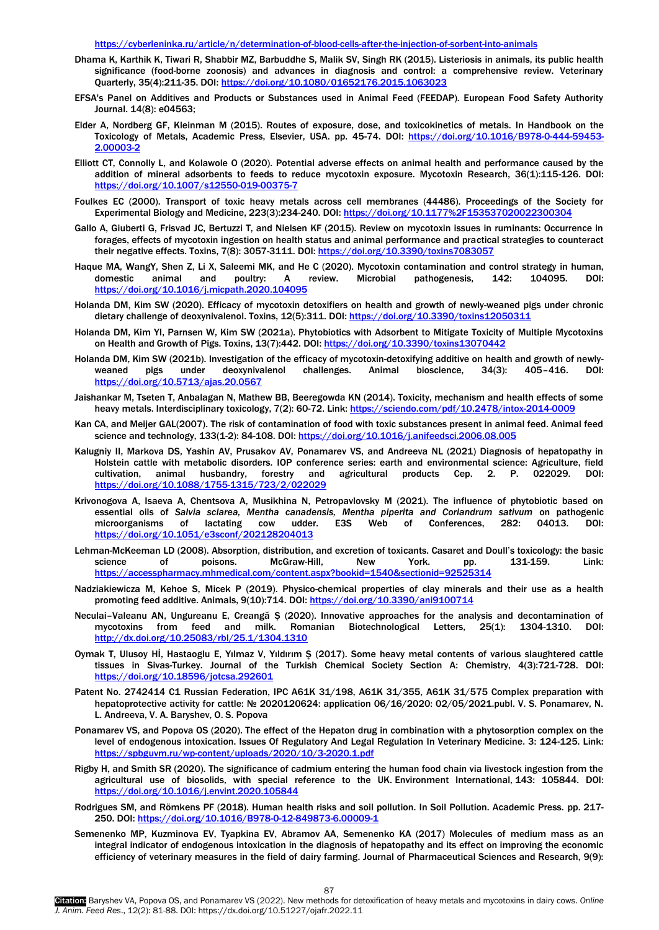<https://cyberleninka.ru/article/n/determination-of-blood-cells-after-the-injection-of-sorbent-into-animals>

- Dhama K, Karthik K, Tiwari R, Shabbir MZ, Barbuddhe S, Malik SV, Singh RK (2015). Listeriosis in animals, its public health significance (food-borne zoonosis) and advances in diagnosis and control: a comprehensive review. Veterinary Quarterly, 35(4):211-35. DOI:<https://doi.org/10.1080/01652176.2015.1063023>
- EFSA's Panel on Additives and Products or Substances used in Animal Feed (FEEDAP). European Food Safety Authority Journal. 14(8): e04563;
- Elder A, Nordberg GF, Kleinman M (2015). Routes of exposure, dose, and toxicokinetics of metals. In Handbook on the Toxicology of Metals, Academic Press, Elsevier, USA. pp. 45-74. DOI: [https://doi.org/10.1016/B978-0-444-59453-](https://doi.org/10.1016/B978-0-444-59453-2.00003-2) [2.00003-2](https://doi.org/10.1016/B978-0-444-59453-2.00003-2)
- Elliott CT, Connolly L, and Kolawole O (2020). Potential adverse effects on animal health and performance caused by the addition of mineral adsorbents to feeds to reduce mycotoxin exposure. Mycotoxin Research, 36(1):115-126. DOI: <https://doi.org/10.1007/s12550-019-00375-7>
- Foulkes EC (2000). Transport of toxic heavy metals across cell membranes (44486). Proceedings of the Society for Experimental Biology and Medicine, 223(3):234-240. DOI[: https://doi.org/10.1177%2F153537020022300304](https://doi.org/10.1177%2F153537020022300304)
- Gallo A, Giuberti G, Frisvad JC, Bertuzzi T, and Nielsen KF (2015). Review on mycotoxin issues in ruminants: Occurrence in forages, effects of mycotoxin ingestion on health status and animal performance and practical strategies to counteract their negative effects. Toxins, 7(8): 3057-3111. DOI[: https://doi.org/10.3390/toxins7083057](https://doi.org/10.3390/toxins7083057)
- Haque MA, WangY, Shen Z, Li X, Saleemi MK, and He C (2020). Mycotoxin contamination and control strategy in human, domestic animal and poultry: A review. Microbial pathogenesis, 142: 104095. DOI: <https://doi.org/10.1016/j.micpath.2020.104095>
- Holanda DM, Kim SW (2020). Efficacy of mycotoxin detoxifiers on health and growth of newly-weaned pigs under chronic dietary challenge of deoxynivalenol. Toxins, 12(5):311. DOI[: https://doi.org/10.3390/toxins12050311](https://doi.org/10.3390/toxins12050311)
- Holanda DM, Kim YI, Parnsen W, Kim SW (2021a). Phytobiotics with Adsorbent to Mitigate Toxicity of Multiple Mycotoxins on Health and Growth of Pigs. Toxins, 13(7):442. DOI:<https://doi.org/10.3390/toxins13070442>
- Holanda DM, Kim SW (2021b). Investigation of the efficacy of mycotoxin-detoxifying additive on health and growth of newlyweaned pigs under deoxynivalenol challenges. Animal bioscience, 34(3): 405–416. DOI: <https://doi.org/10.5713/ajas.20.0567>
- Jaishankar M, Tseten T, Anbalagan N, Mathew BB, Beeregowda KN (2014). Toxicity, mechanism and health effects of some heavy metals. Interdisciplinary toxicology, 7(2): 60-72. Link[: https://sciendo.com/pdf/10.2478/intox-2014-0009](https://sciendo.com/pdf/10.2478/intox-2014-0009)
- Kan CA, and Meijer GAL(2007). The risk of contamination of food with toxic substances present in animal feed. Animal feed science and technology, 133(1-2): 84-108. DOI[: https://doi.org/10.1016/j.anifeedsci.2006.08.005](https://doi.org/10.1016/j.anifeedsci.2006.08.005)
- Kalugniy II, Markova DS, Yashin AV, Prusakov AV, Ponamarev VS, and Andreeva NL (2021) Diagnosis of hepatopathy in Holstein cattle with metabolic disorders. IOP conference series: earth and environmental science: Agriculture, field cultivation, animal husbandry, forestry and agricultural products Сер. 2. P. 022029. DOI: <https://doi.org/10.1088/1755-1315/723/2/022029>
- Krivonogova A, Isaeva A, Chentsova A, Musikhina N, Petropavlovsky M (2021). The influence of phytobiotic based on essential oils of *Salvia sclarea, Mentha canadensis, Mentha piperita and Coriandrum sativum* on pathogenic microorganisms of lactating cow udder. E3S Web of Conferences, 282: 04013. DOI: <https://doi.org/10.1051/e3sconf/202128204013>
- Lehman-McKeeman LD (2008). Absorption, distribution, and excretion of toxicants. Casaret and Doull's toxicology: the basic science of poisons. McGraw-Hill, New York. pp. 131-159. Link: [https://accesspharmacy.mhmedical.com/content.aspx?bookid=1540&sectionid=92525314](https://accesspharmacy.mhmedical.com/content.aspx?bookid=1540§ionid=92525314)
- Nadziakiewicza M, Kehoe S, Micek P (2019). Physico-chemical properties of clay minerals and their use as a health promoting feed additive. Animals, 9(10):714. DOI:<https://doi.org/10.3390/ani9100714>
- Neculai–Valeanu AN, Ungureanu E, Creangă Ș (2020). Innovative approaches for the analysis and decontamination of mycotoxins from feed and milk. Romanian Biotechnological Letters, 25(1): 1304-1310. DOI: <http://dx.doi.org/10.25083/rbl/25.1/1304.1310>
- Oymak T, Ulusoy Hİ, Hastaoglu E, Yılmaz V, Yıldırım Ş (2017). Some heavy metal contents of various slaughtered cattle tissues in Sivas-Turkey. Journal of the Turkish Chemical Society Section A: Chemistry, 4(3):721-728. DOI: <https://doi.org/10.18596/jotcsa.292601>
- Patent No. 2742414 C1 Russian Federation, IPC A61K 31/198, A61K 31/355, A61K 31/575 Complex preparation with hepatoprotective activity for cattle: № 2020120624: application 06/16/2020: 02/05/2021.publ. V. S. Ponamarev, N. L. Andreeva, V. A. Baryshev, O. S. Popova
- Ponamarev VS, and Popova OS (2020). The effect of the Hepaton drug in combination with a phytosorption complex on the level of endogenous intoxication. Issues Of Regulatory And Legal Regulation In Veterinary Medicine. 3: 124-125. Link: <https://spbguvm.ru/wp-content/uploads/2020/10/3-2020.1.pdf>
- Rigby H, and Smith SR (2020). The significance of cadmium entering the human food chain via livestock ingestion from the agricultural use of biosolids, with special reference to the UK. Environment International, 143: 105844. DOI: <https://doi.org/10.1016/j.envint.2020.105844>
- Rodrigues SM, and Römkens PF (2018). Human health risks and soil pollution. In Soil Pollution. Academic Press. pp. 217- 250. DOI[: https://doi.org/10.1016/B978-0-12-849873-6.00009-1](https://doi.org/10.1016/B978-0-12-849873-6.00009-1)
- Semenenko MP, Kuzminova EV, Tyapkina EV, Abramov AA, Semenenko KA (2017) Molecules of medium mass as an integral indicator of endogenous intoxication in the diagnosis of hepatopathy and its effect on improving the economic efficiency of veterinary measures in the field of dairy farming. Journal of Pharmaceutical Sciences and Research, 9(9):